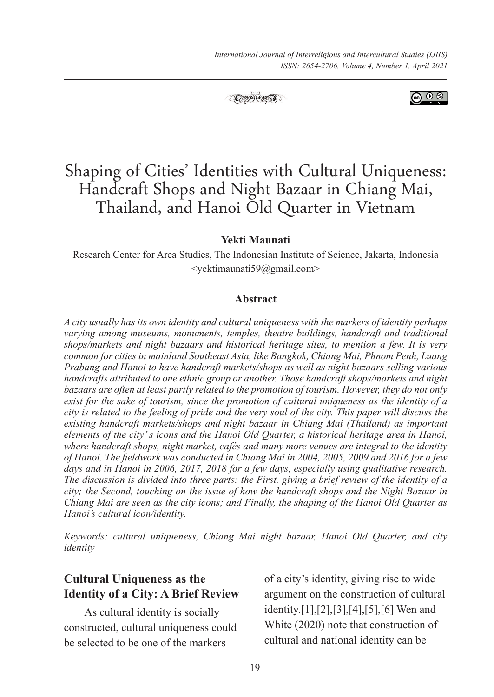

@ 0 ®

### **Yekti Maunati**

Research Center for Area Studies, The Indonesian Institute of Science, Jakarta, Indonesia <yektimaunati59@gmail.com>

#### **Abstract**

*A city usually has its own identity and cultural uniqueness with the markers of identity perhaps varying among museums, monuments, temples, theatre buildings, handcraft and traditional shops/markets and night bazaars and historical heritage sites, to mention a few. It is very common for cities in mainland Southeast Asia, like Bangkok, Chiang Mai, Phnom Penh, Luang Prabang and Hanoi to have handcraft markets/shops as well as night bazaars selling various handcrafts attributed to one ethnic group or another. Those handcraft shops/markets and night bazaars are often at least partly related to the promotion of tourism. However, they do not only exist for the sake of tourism, since the promotion of cultural uniqueness as the identity of a city is related to the feeling of pride and the very soul of the city. This paper will discuss the existing handcraft markets/shops and night bazaar in Chiang Mai (Thailand) as important elements of the city' s icons and the Hanoi Old Quarter, a historical heritage area in Hanoi, where handcraft shops, night market, cafés and many more venues are integral to the identity of Hanoi. The fieldwork was conducted in Chiang Mai in 2004, 2005, 2009 and 2016 for a few days and in Hanoi in 2006, 2017, 2018 for a few days, especially using qualitative research. The discussion is divided into three parts: the First, giving a brief review of the identity of a city; the Second, touching on the issue of how the handcraft shops and the Night Bazaar in Chiang Mai are seen as the city icons; and Finally, the shaping of the Hanoi Old Quarter as Hanoi's cultural icon/identity.*

*Keywords: cultural uniqueness, Chiang Mai night bazaar, Hanoi Old Quarter, and city identity*

## **Cultural Uniqueness as the Identity of a City: A Brief Review**

As cultural identity is socially constructed, cultural uniqueness could be selected to be one of the markers

of a city's identity, giving rise to wide argument on the construction of cultural identity.[1],[2],[3],[4],[5],[6] Wen and White (2020) note that construction of cultural and national identity can be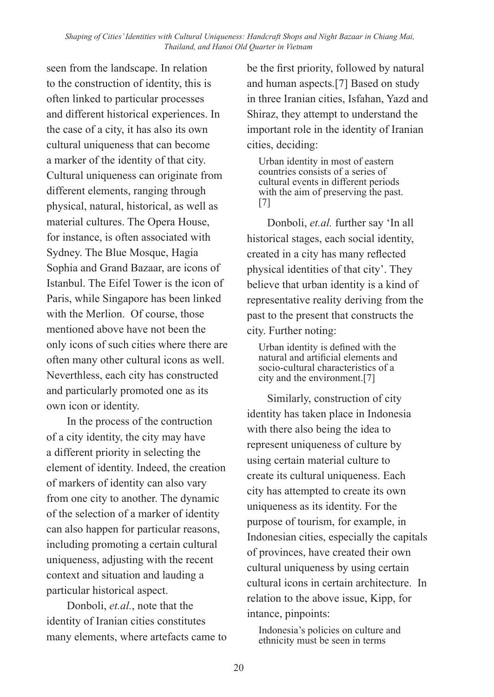seen from the landscape. In relation to the construction of identity, this is often linked to particular processes and different historical experiences. In the case of a city, it has also its own cultural uniqueness that can become a marker of the identity of that city. Cultural uniqueness can originate from different elements, ranging through physical, natural, historical, as well as material cultures. The Opera House, for instance, is often associated with Sydney. The Blue Mosque, Hagia Sophia and Grand Bazaar, are icons of Istanbul. The Eifel Tower is the icon of Paris, while Singapore has been linked with the Merlion. Of course, those mentioned above have not been the only icons of such cities where there are often many other cultural icons as well. Neverthless, each city has constructed and particularly promoted one as its own icon or identity.

In the process of the contruction of a city identity, the city may have a different priority in selecting the element of identity. Indeed, the creation of markers of identity can also vary from one city to another. The dynamic of the selection of a marker of identity can also happen for particular reasons, including promoting a certain cultural uniqueness, adjusting with the recent context and situation and lauding a particular historical aspect.

Donboli, *et.al.*, note that the identity of Iranian cities constitutes many elements, where artefacts came to be the first priority, followed by natural and human aspects.[7] Based on study in three Iranian cities, Isfahan, Yazd and Shiraz, they attempt to understand the important role in the identity of Iranian cities, deciding:

Urban identity in most of eastern countries consists of a series of cultural events in different periods with the aim of preserving the past. [7]

Donboli, *et.al.* further say 'In all historical stages, each social identity, created in a city has many reflected physical identities of that city'. They believe that urban identity is a kind of representative reality deriving from the past to the present that constructs the city. Further noting:

Urban identity is defined with the natural and artificial elements and socio-cultural characteristics of a city and the environment.[7]

Similarly, construction of city identity has taken place in Indonesia with there also being the idea to represent uniqueness of culture by using certain material culture to create its cultural uniqueness. Each city has attempted to create its own uniqueness as its identity. For the purpose of tourism, for example, in Indonesian cities, especially the capitals of provinces, have created their own cultural uniqueness by using certain cultural icons in certain architecture. In relation to the above issue, Kipp, for intance, pinpoints:

Indonesia's policies on culture and ethnicity must be seen in terms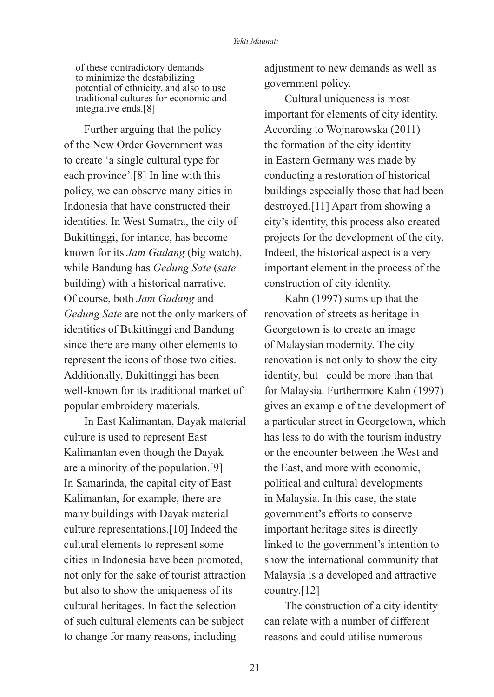of these contradictory demands to minimize the destabilizing potential of ethnicity, and also to use traditional cultures for economic and integrative ends.[8]

Further arguing that the policy of the New Order Government was to create 'a single cultural type for each province'.[8] In line with this policy, we can observe many cities in Indonesia that have constructed their identities. In West Sumatra, the city of Bukittinggi, for intance, has become known for its *Jam Gadang* (big watch), while Bandung has *Gedung Sate* (*sate*  building) with a historical narrative. Of course, both *Jam Gadang* and *Gedung Sate* are not the only markers of identities of Bukittinggi and Bandung since there are many other elements to represent the icons of those two cities. Additionally, Bukittinggi has been well-known for its traditional market of popular embroidery materials.

In East Kalimantan, Dayak material culture is used to represent East Kalimantan even though the Dayak are a minority of the population.[9] In Samarinda, the capital city of East Kalimantan, for example, there are many buildings with Dayak material culture representations.[10] Indeed the cultural elements to represent some cities in Indonesia have been promoted, not only for the sake of tourist attraction but also to show the uniqueness of its cultural heritages. In fact the selection of such cultural elements can be subject to change for many reasons, including

adjustment to new demands as well as government policy.

Cultural uniqueness is most important for elements of city identity. According to Wojnarowska (2011) the formation of the city identity in Eastern Germany was made by conducting a restoration of historical buildings especially those that had been destroyed.[11] Apart from showing a city's identity, this process also created projects for the development of the city. Indeed, the historical aspect is a very important element in the process of the construction of city identity.

Kahn (1997) sums up that the renovation of streets as heritage in Georgetown is to create an image of Malaysian modernity. The city renovation is not only to show the city identity, but could be more than that for Malaysia. Furthermore Kahn (1997) gives an example of the development of a particular street in Georgetown, which has less to do with the tourism industry or the encounter between the West and the East, and more with economic, political and cultural developments in Malaysia. In this case, the state government's efforts to conserve important heritage sites is directly linked to the government's intention to show the international community that Malaysia is a developed and attractive country.[12]

The construction of a city identity can relate with a number of different reasons and could utilise numerous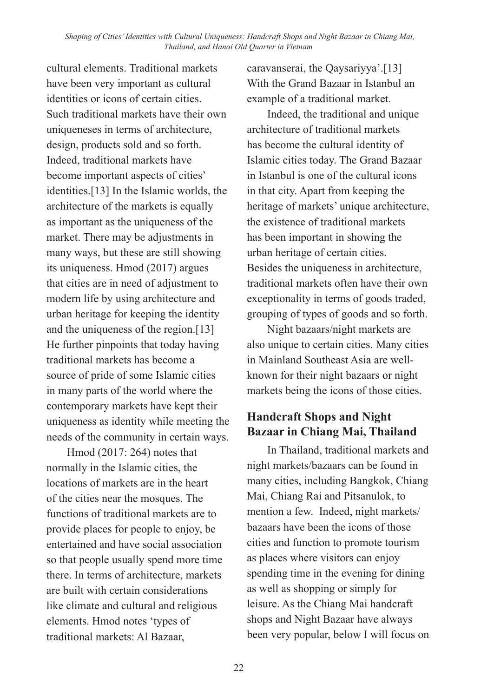cultural elements. Traditional markets have been very important as cultural identities or icons of certain cities. Such traditional markets have their own uniqueneses in terms of architecture, design, products sold and so forth. Indeed, traditional markets have become important aspects of cities' identities.[13] In the Islamic worlds, the architecture of the markets is equally as important as the uniqueness of the market. There may be adjustments in many ways, but these are still showing its uniqueness. Hmod (2017) argues that cities are in need of adjustment to modern life by using architecture and urban heritage for keeping the identity and the uniqueness of the region.[13] He further pinpoints that today having traditional markets has become a source of pride of some Islamic cities in many parts of the world where the contemporary markets have kept their uniqueness as identity while meeting the needs of the community in certain ways.

Hmod (2017: 264) notes that normally in the Islamic cities, the locations of markets are in the heart of the cities near the mosques. The functions of traditional markets are to provide places for people to enjoy, be entertained and have social association so that people usually spend more time there. In terms of architecture, markets are built with certain considerations like climate and cultural and religious elements. Hmod notes 'types of traditional markets: Al Bazaar,

caravanserai, the Qaysariyya'.[13] With the Grand Bazaar in Istanbul an example of a traditional market.

Indeed, the traditional and unique architecture of traditional markets has become the cultural identity of Islamic cities today. The Grand Bazaar in Istanbul is one of the cultural icons in that city. Apart from keeping the heritage of markets' unique architecture, the existence of traditional markets has been important in showing the urban heritage of certain cities. Besides the uniqueness in architecture, traditional markets often have their own exceptionality in terms of goods traded, grouping of types of goods and so forth.

Night bazaars/night markets are also unique to certain cities. Many cities in Mainland Southeast Asia are wellknown for their night bazaars or night markets being the icons of those cities.

## **Handcraft Shops and Night Bazaar in Chiang Mai, Thailand**

In Thailand, traditional markets and night markets/bazaars can be found in many cities, including Bangkok, Chiang Mai, Chiang Rai and Pitsanulok, to mention a few. Indeed, night markets/ bazaars have been the icons of those cities and function to promote tourism as places where visitors can enjoy spending time in the evening for dining as well as shopping or simply for leisure. As the Chiang Mai handcraft shops and Night Bazaar have always been very popular, below I will focus on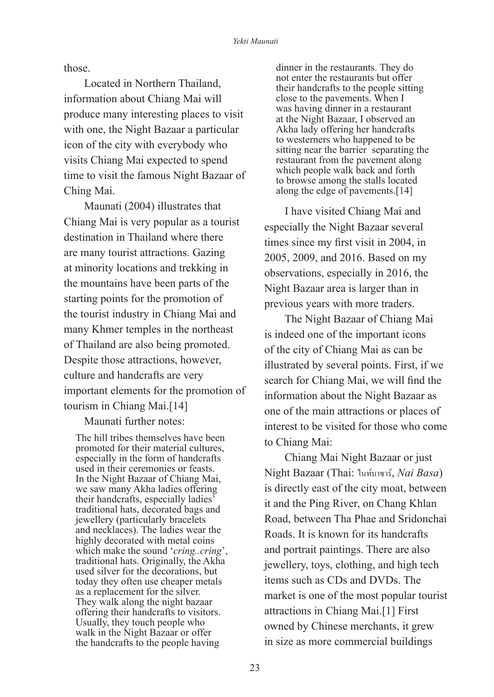those.

Located in Northern Thailand, information about Chiang Mai will produce many interesting places to visit with one, the Night Bazaar a particular icon of the city with everybody who visits Chiang Mai expected to spend time to visit the famous Night Bazaar of Ching Mai.

Maunati (2004) illustrates that Chiang Mai is very popular as a tourist destination in Thailand where there are many tourist attractions. Gazing at minority locations and trekking in the mountains have been parts of the starting points for the promotion of the tourist industry in Chiang Mai and many Khmer temples in the northeast of Thailand are also being promoted. Despite those attractions, however, culture and handcrafts are very important elements for the promotion of tourism in Chiang Mai.[14]

Maunati further notes:

The hill tribes themselves have been promoted for their material cultures, especially in the form of handcrafts used in their ceremonies or feasts. In the Night Bazaar of Chiang Mai, we saw many Akha ladies offering their handcrafts, especially ladies' traditional hats, decorated bags and jewellery (particularly bracelets and necklaces). The ladies wear the highly decorated with metal coins which make the sound '*cring..cring*', traditional hats. Originally, the Akha used silver for the decorations, but today they often use cheaper metals as a replacement for the silver. They walk along the night bazaar offering their handcrafts to visitors. Usually, they touch people who walk in the Night Bazaar or offer the handcrafts to the people having

dinner in the restaurants. They do not enter the restaurants but offer their handcrafts to the people sitting close to the pavements. When I was having dinner in a restaurant at the Night Bazaar, I observed an Akha lady offering her handcrafts to westerners who happened to be sitting near the barrier separating the restaurant from the pavement along which people walk back and forth to browse among the stalls located along the edge of pavements.[14]

I have visited Chiang Mai and especially the Night Bazaar several times since my first visit in 2004, in 2005, 2009, and 2016. Based on my observations, especially in 2016, the Night Bazaar area is larger than in previous years with more traders.

The Night Bazaar of Chiang Mai is indeed one of the important icons of the city of Chiang Mai as can be illustrated by several points. First, if we search for Chiang Mai, we will find the information about the Night Bazaar as one of the main attractions or places of interest to be visited for those who come to Chiang Mai:

Chiang Mai Night Bazaar or just Night Bazaar (Thai: ไนท์บาซาร์, *Nai Basa*) is directly east of the city moat, between it and the Ping River, on Chang Khlan Road, between Tha Phae and Sridonchai Roads. It is known for its handcrafts and portrait paintings. There are also jewellery, toys, clothing, and high tech items such as CDs and DVDs. The market is one of the most popular tourist attractions in Chiang Mai.[1] First owned by Chinese merchants, it grew in size as more commercial buildings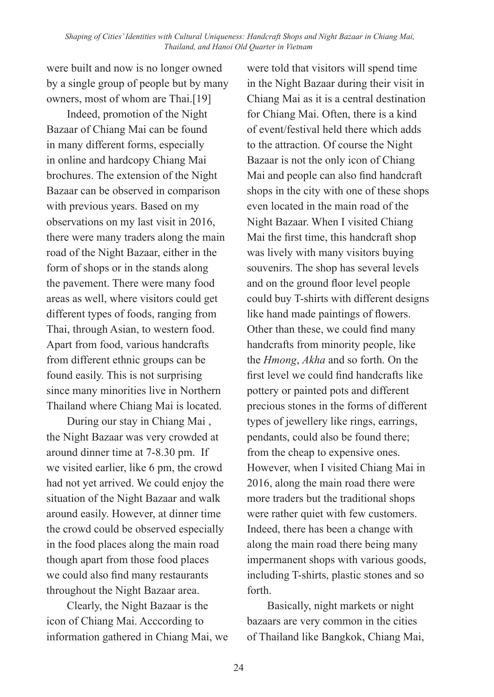were built and now is no longer owned by a single group of people but by many owners, most of whom are Thai.[19]

Indeed, promotion of the Night Bazaar of Chiang Mai can be found in many different forms, especially in online and hardcopy Chiang Mai brochures. The extension of the Night Bazaar can be observed in comparison with previous years. Based on my observations on my last visit in 2016, there were many traders along the main road of the Night Bazaar, either in the form of shops or in the stands along the pavement. There were many food areas as well, where visitors could get different types of foods, ranging from Thai, through Asian, to western food. Apart from food, various handcrafts from different ethnic groups can be found easily. This is not surprising since many minorities live in Northern Thailand where Chiang Mai is located.

During our stay in Chiang Mai , the Night Bazaar was very crowded at around dinner time at 7-8.30 pm. If we visited earlier, like 6 pm, the crowd had not yet arrived. We could enjoy the situation of the Night Bazaar and walk around easily. However, at dinner time the crowd could be observed especially in the food places along the main road though apart from those food places we could also find many restaurants throughout the Night Bazaar area.

Clearly, the Night Bazaar is the icon of Chiang Mai. Acccording to information gathered in Chiang Mai, we were told that visitors will spend time in the Night Bazaar during their visit in Chiang Mai as it is a central destination for Chiang Mai. Often, there is a kind of event/festival held there which adds to the attraction. Of course the Night Bazaar is not the only icon of Chiang Mai and people can also find handcraft shops in the city with one of these shops even located in the main road of the Night Bazaar. When I visited Chiang Mai the first time, this handcraft shop was lively with many visitors buying souvenirs. The shop has several levels and on the ground floor level people could buy T-shirts with different designs like hand made paintings of flowers. Other than these, we could find many handcrafts from minority people, like the *Hmong*, *Akha* and so forth. On the first level we could find handcrafts like pottery or painted pots and different precious stones in the forms of different types of jewellery like rings, earrings, pendants, could also be found there; from the cheap to expensive ones. However, when I visited Chiang Mai in 2016, along the main road there were more traders but the traditional shops were rather quiet with few customers. Indeed, there has been a change with along the main road there being many impermanent shops with various goods, including T-shirts, plastic stones and so forth.

Basically, night markets or night bazaars are very common in the cities of Thailand like Bangkok, Chiang Mai,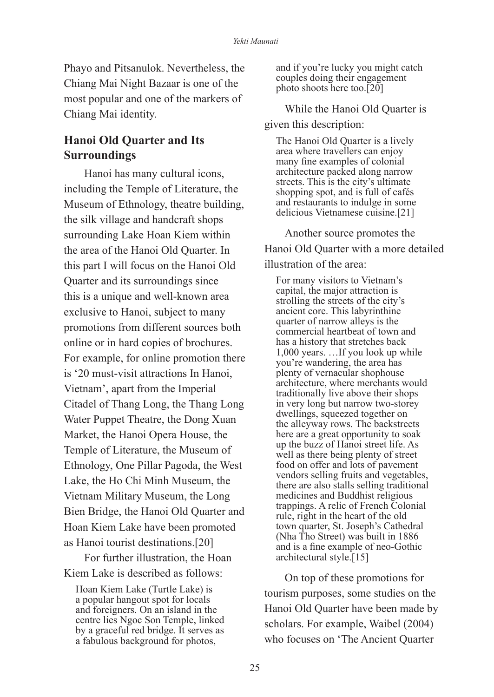Phayo and Pitsanulok. Nevertheless, the Chiang Mai Night Bazaar is one of the most popular and one of the markers of Chiang Mai identity.

## **Hanoi Old Quarter and Its Surroundings**

Hanoi has many cultural icons, including the Temple of Literature, the Museum of Ethnology, theatre building, the silk village and handcraft shops surrounding Lake Hoan Kiem within the area of the Hanoi Old Quarter. In this part I will focus on the Hanoi Old Quarter and its surroundings since this is a unique and well-known area exclusive to Hanoi, subject to many promotions from different sources both online or in hard copies of brochures. For example, for online promotion there is '20 must-visit attractions In Hanoi, Vietnam', apart from the Imperial Citadel of Thang Long, the Thang Long Water Puppet Theatre, the Dong Xuan Market, the Hanoi Opera House, the Temple of Literature, the Museum of Ethnology, One Pillar Pagoda, the West Lake, the Ho Chi Minh Museum, the Vietnam Military Museum, the Long Bien Bridge, the Hanoi Old Quarter and Hoan Kiem Lake have been promoted as Hanoi tourist destinations.[20]

For further illustration, the Hoan Kiem Lake is described as follows:

Hoan Kiem Lake (Turtle Lake) is a popular hangout spot for locals and foreigners. On an island in the centre lies Ngoc Son Temple, linked by a graceful red bridge. It serves as a fabulous background for photos,

and if you're lucky you might catch couples doing their engagement photo shoots here too.[20]

While the Hanoi Old Quarter is given this description:

The Hanoi Old Quarter is a lively area where travellers can enjoy many fine examples of colonial architecture packed along narrow streets. This is the city's ultimate shopping spot, and is full of cafés and restaurants to indulge in some delicious Vietnamese cuisine.[21]

Another source promotes the Hanoi Old Quarter with a more detailed illustration of the area:

For many visitors to Vietnam's capital, the major attraction is strolling the streets of the city's ancient core. This labyrinthine quarter of narrow alleys is the commercial heartbeat of town and has a history that stretches back 1,000 years. …If you look up while you're wandering, the area has plenty of vernacular shophouse architecture, where merchants would traditionally live above their shops in very long but narrow two-storey dwellings, squeezed together on the alleyway rows. The backstreets here are a great opportunity to soak up the buzz of Hanoi street life. As well as there being plenty of street food on offer and lots of pavement vendors selling fruits and vegetables, there are also stalls selling traditional medicines and Buddhist religious trappings. A relic of French Colonial rule, right in the heart of the old town quarter, St. Joseph's Cathedral (Nha Tho Street) was built in 1886 and is a fine example of neo-Gothic architectural style.[15]

On top of these promotions for tourism purposes, some studies on the Hanoi Old Quarter have been made by scholars. For example, Waibel (2004) who focuses on 'The Ancient Quarter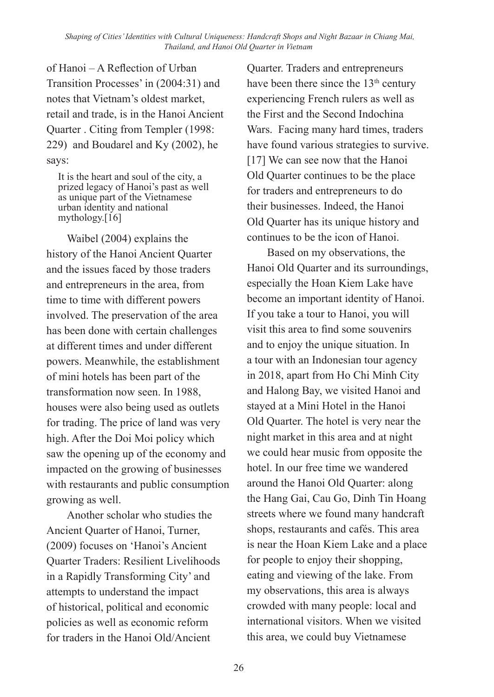of Hanoi – A Reflection of Urban Transition Processes' in (2004:31) and notes that Vietnam's oldest market, retail and trade, is in the Hanoi Ancient Quarter . Citing from Templer (1998: 229) and Boudarel and Ky (2002), he says:

It is the heart and soul of the city, a prized legacy of Hanoi's past as well as unique part of the Vietnamese urban identity and national mythology. $[16]$ 

Waibel (2004) explains the history of the Hanoi Ancient Quarter and the issues faced by those traders and entrepreneurs in the area, from time to time with different powers involved. The preservation of the area has been done with certain challenges at different times and under different powers. Meanwhile, the establishment of mini hotels has been part of the transformation now seen. In 1988, houses were also being used as outlets for trading. The price of land was very high. After the Doi Moi policy which saw the opening up of the economy and impacted on the growing of businesses with restaurants and public consumption growing as well.

Another scholar who studies the Ancient Quarter of Hanoi, Turner, (2009) focuses on 'Hanoi's Ancient Quarter Traders: Resilient Livelihoods in a Rapidly Transforming City' and attempts to understand the impact of historical, political and economic policies as well as economic reform for traders in the Hanoi Old/Ancient

Quarter. Traders and entrepreneurs have been there since the  $13<sup>th</sup>$  century experiencing French rulers as well as the First and the Second Indochina Wars. Facing many hard times, traders have found various strategies to survive. [17] We can see now that the Hanoi Old Quarter continues to be the place for traders and entrepreneurs to do their businesses. Indeed, the Hanoi Old Quarter has its unique history and continues to be the icon of Hanoi.

Based on my observations, the Hanoi Old Quarter and its surroundings, especially the Hoan Kiem Lake have become an important identity of Hanoi. If you take a tour to Hanoi, you will visit this area to find some souvenirs and to enjoy the unique situation. In a tour with an Indonesian tour agency in 2018, apart from Ho Chi Minh City and Halong Bay, we visited Hanoi and stayed at a Mini Hotel in the Hanoi Old Quarter. The hotel is very near the night market in this area and at night we could hear music from opposite the hotel. In our free time we wandered around the Hanoi Old Quarter: along the Hang Gai, Cau Go, Dinh Tin Hoang streets where we found many handcraft shops, restaurants and cafés. This area is near the Hoan Kiem Lake and a place for people to enjoy their shopping, eating and viewing of the lake. From my observations, this area is always crowded with many people: local and international visitors. When we visited this area, we could buy Vietnamese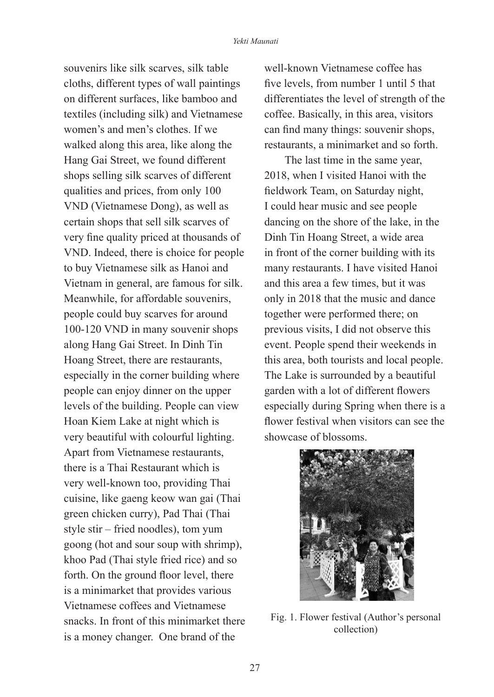souvenirs like silk scarves, silk table cloths, different types of wall paintings on different surfaces, like bamboo and textiles (including silk) and Vietnamese women's and men's clothes. If we walked along this area, like along the Hang Gai Street, we found different shops selling silk scarves of different qualities and prices, from only 100 VND (Vietnamese Dong), as well as certain shops that sell silk scarves of very fine quality priced at thousands of VND. Indeed, there is choice for people to buy Vietnamese silk as Hanoi and Vietnam in general, are famous for silk. Meanwhile, for affordable souvenirs, people could buy scarves for around 100-120 VND in many souvenir shops along Hang Gai Street. In Dinh Tin Hoang Street, there are restaurants, especially in the corner building where people can enjoy dinner on the upper levels of the building. People can view Hoan Kiem Lake at night which is very beautiful with colourful lighting. Apart from Vietnamese restaurants, there is a Thai Restaurant which is very well-known too, providing Thai cuisine, like gaeng keow wan gai (Thai green chicken curry), Pad Thai (Thai style stir – fried noodles), tom yum goong (hot and sour soup with shrimp), khoo Pad (Thai style fried rice) and so forth. On the ground floor level, there is a minimarket that provides various Vietnamese coffees and Vietnamese snacks. In front of this minimarket there is a money changer. One brand of the

well-known Vietnamese coffee has five levels, from number 1 until 5 that differentiates the level of strength of the coffee. Basically, in this area, visitors can find many things: souvenir shops, restaurants, a minimarket and so forth.

The last time in the same year, 2018, when I visited Hanoi with the fieldwork Team, on Saturday night, I could hear music and see people dancing on the shore of the lake, in the Dinh Tin Hoang Street, a wide area in front of the corner building with its many restaurants. I have visited Hanoi and this area a few times, but it was only in 2018 that the music and dance together were performed there; on previous visits, I did not observe this event. People spend their weekends in this area, both tourists and local people. The Lake is surrounded by a beautiful garden with a lot of different flowers especially during Spring when there is a flower festival when visitors can see the showcase of blossoms.



Fig. 1. Flower festival (Author's personal collection)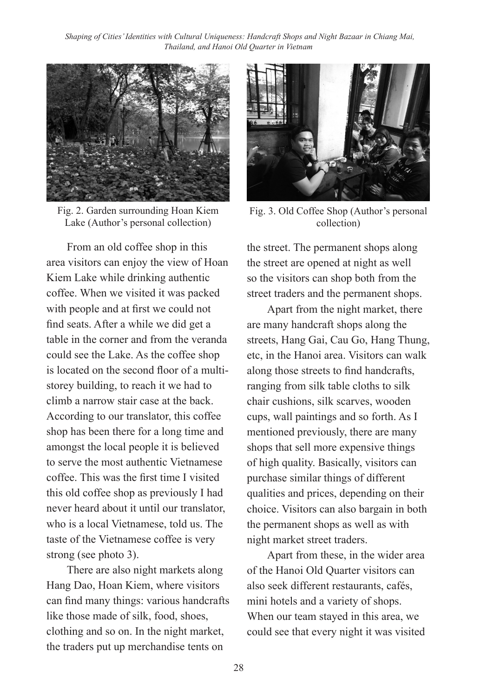

Fig. 2. Garden surrounding Hoan Kiem Lake (Author's personal collection)

From an old coffee shop in this area visitors can enjoy the view of Hoan Kiem Lake while drinking authentic coffee. When we visited it was packed with people and at first we could not find seats. After a while we did get a table in the corner and from the veranda could see the Lake. As the coffee shop is located on the second floor of a multistorey building, to reach it we had to climb a narrow stair case at the back. According to our translator, this coffee shop has been there for a long time and amongst the local people it is believed to serve the most authentic Vietnamese coffee. This was the first time I visited this old coffee shop as previously I had never heard about it until our translator, who is a local Vietnamese, told us. The taste of the Vietnamese coffee is very strong (see photo 3).

There are also night markets along Hang Dao, Hoan Kiem, where visitors can find many things: various handcrafts like those made of silk, food, shoes, clothing and so on. In the night market, the traders put up merchandise tents on



Fig. 3. Old Coffee Shop (Author's personal collection)

the street. The permanent shops along the street are opened at night as well so the visitors can shop both from the street traders and the permanent shops.

Apart from the night market, there are many handcraft shops along the streets, Hang Gai, Cau Go, Hang Thung, etc, in the Hanoi area. Visitors can walk along those streets to find handcrafts, ranging from silk table cloths to silk chair cushions, silk scarves, wooden cups, wall paintings and so forth. As I mentioned previously, there are many shops that sell more expensive things of high quality. Basically, visitors can purchase similar things of different qualities and prices, depending on their choice. Visitors can also bargain in both the permanent shops as well as with night market street traders.

Apart from these, in the wider area of the Hanoi Old Quarter visitors can also seek different restaurants, cafés, mini hotels and a variety of shops. When our team stayed in this area, we could see that every night it was visited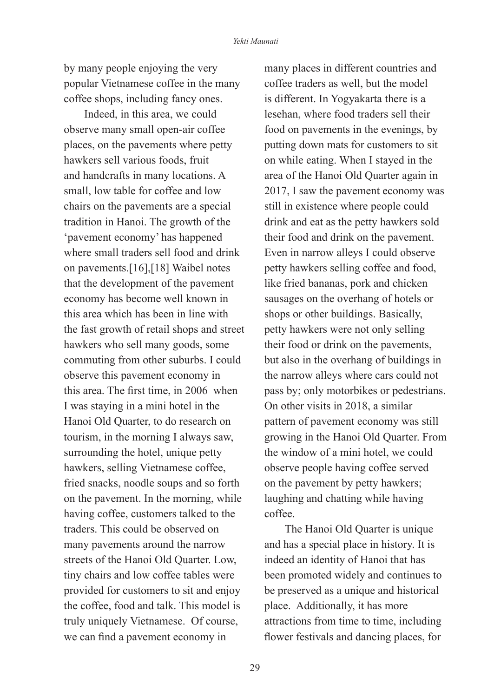by many people enjoying the very popular Vietnamese coffee in the many coffee shops, including fancy ones.

Indeed, in this area, we could observe many small open-air coffee places, on the pavements where petty hawkers sell various foods, fruit and handcrafts in many locations. A small, low table for coffee and low chairs on the pavements are a special tradition in Hanoi. The growth of the 'pavement economy' has happened where small traders sell food and drink on pavements.[16],[18] Waibel notes that the development of the pavement economy has become well known in this area which has been in line with the fast growth of retail shops and street hawkers who sell many goods, some commuting from other suburbs. I could observe this pavement economy in this area. The first time, in 2006 when I was staying in a mini hotel in the Hanoi Old Quarter, to do research on tourism, in the morning I always saw, surrounding the hotel, unique petty hawkers, selling Vietnamese coffee, fried snacks, noodle soups and so forth on the pavement. In the morning, while having coffee, customers talked to the traders. This could be observed on many pavements around the narrow streets of the Hanoi Old Quarter. Low, tiny chairs and low coffee tables were provided for customers to sit and enjoy the coffee, food and talk. This model is truly uniquely Vietnamese. Of course, we can find a pavement economy in

many places in different countries and coffee traders as well, but the model is different. In Yogyakarta there is a lesehan, where food traders sell their food on pavements in the evenings, by putting down mats for customers to sit on while eating. When I stayed in the area of the Hanoi Old Quarter again in 2017, I saw the pavement economy was still in existence where people could drink and eat as the petty hawkers sold their food and drink on the pavement. Even in narrow alleys I could observe petty hawkers selling coffee and food, like fried bananas, pork and chicken sausages on the overhang of hotels or shops or other buildings. Basically, petty hawkers were not only selling their food or drink on the pavements, but also in the overhang of buildings in the narrow alleys where cars could not pass by; only motorbikes or pedestrians. On other visits in 2018, a similar pattern of pavement economy was still growing in the Hanoi Old Quarter. From the window of a mini hotel, we could observe people having coffee served on the pavement by petty hawkers; laughing and chatting while having coffee.

The Hanoi Old Quarter is unique and has a special place in history. It is indeed an identity of Hanoi that has been promoted widely and continues to be preserved as a unique and historical place. Additionally, it has more attractions from time to time, including flower festivals and dancing places, for

29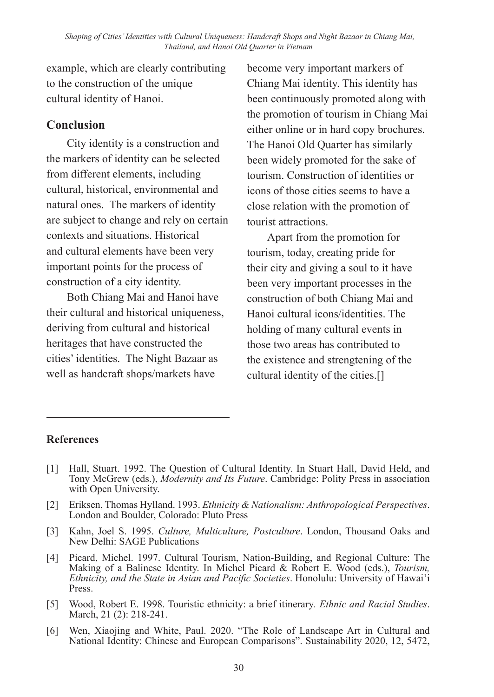example, which are clearly contributing to the construction of the unique cultural identity of Hanoi.

### **Conclusion**

City identity is a construction and the markers of identity can be selected from different elements, including cultural, historical, environmental and natural ones. The markers of identity are subject to change and rely on certain contexts and situations. Historical and cultural elements have been very important points for the process of construction of a city identity.

Both Chiang Mai and Hanoi have their cultural and historical uniqueness, deriving from cultural and historical heritages that have constructed the cities' identities. The Night Bazaar as well as handcraft shops/markets have

become very important markers of Chiang Mai identity. This identity has been continuously promoted along with the promotion of tourism in Chiang Mai either online or in hard copy brochures. The Hanoi Old Quarter has similarly been widely promoted for the sake of tourism. Construction of identities or icons of those cities seems to have a close relation with the promotion of tourist attractions.

Apart from the promotion for tourism, today, creating pride for their city and giving a soul to it have been very important processes in the construction of both Chiang Mai and Hanoi cultural icons/identities. The holding of many cultural events in those two areas has contributed to the existence and strengtening of the cultural identity of the cities.[]

## **References**

- [1] Hall, Stuart. 1992. The Question of Cultural Identity. In Stuart Hall, David Held, and Tony McGrew (eds.), *Modernity and Its Future*. Cambridge: Polity Press in association with Open University.
- [2] Eriksen, Thomas Hylland. 1993. *Ethnicity & Nationalism: Anthropological Perspectives*. London and Boulder, Colorado: Pluto Press
- [3] Kahn, Joel S. 1995. *Culture, Multiculture, Postculture*. London, Thousand Oaks and New Delhi: SAGE Publications
- [4] Picard, Michel. 1997. Cultural Tourism, Nation-Building, and Regional Culture: The Making of a Balinese Identity. In Michel Picard & Robert E. Wood (eds.), *Tourism, Ethnicity, and the State in Asian and Pacific Societies*. Honolulu: University of Hawai'i Press.
- [5] Wood, Robert E. 1998. Touristic ethnicity: a brief itinerary*. Ethnic and Racial Studies*. March, 21 (2): 218-241.
- [6] Wen, Xiaojing and White, Paul. 2020. "The Role of Landscape Art in Cultural and National Identity: Chinese and European Comparisons". Sustainability 2020, 12, 5472,